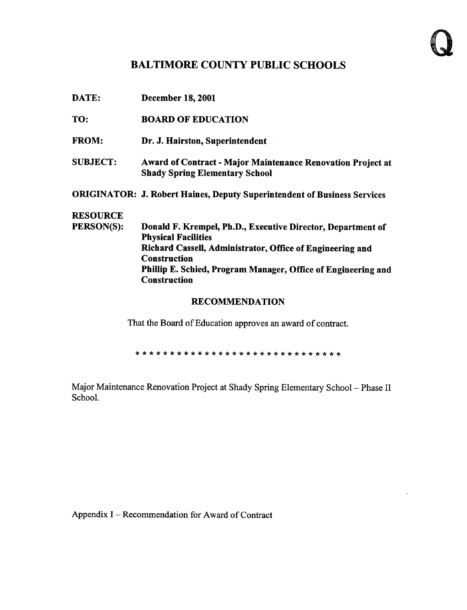# BALTIMORE COUNTY PUBLIC SCHOOLS

|                   | <b>RECOMMENDATION</b>                                                                |
|-------------------|--------------------------------------------------------------------------------------|
|                   | <b>Construction</b>                                                                  |
|                   | <b>Construction</b><br>Phillip E. Schied, Program Manager, Office of Engineering and |
|                   | Richard Cassell, Administrator, Office of Engineering and                            |
|                   | <b>Physical Facilities</b>                                                           |
| <b>PERSON(S):</b> | Donald F. Krempel, Ph.D., Executive Director, Department of                          |
| <b>RESOURCE</b>   |                                                                                      |
|                   | <b>ORIGINATOR: J. Robert Haines, Deputy Superintendent of Business Services</b>      |
|                   | <b>Shady Spring Elementary School</b>                                                |
| <b>SUBJECT:</b>   | <b>Award of Contract - Major Maintenance Renovation Project at</b>                   |
| <b>FROM:</b>      | Dr. J. Hairston, Superintendent                                                      |
| TO:               | <b>BOARD OF EDUCATION</b>                                                            |
| DATE:             | <b>December 18, 2001</b>                                                             |

That the Board of Education approves an award of contract.

Major Maintenance Renovation Project at Shady Spring Elementary School - Phase II School.

Appendix I - Recommendation for Award of Contract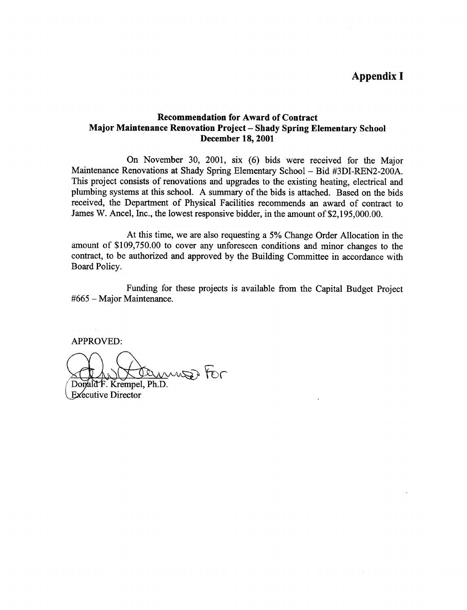## Appendix <sup>I</sup>

### Recommendation for Award of Contract Major Maintenance Renovation Project - Shady Spring Elementary School December 18, 2001

On November 30, 2001, six (6) bids were received for the Major Maintenance Renovations at Shady Spring Elementary School - Bid #3DI-REN2-200A. This project consists of renovations and upgrades to the existing heating, electrical and plumbing systems at this school. A summary of the bids is attached. Based on the bids received, the Department of Physical Facilities recommends an award of contract to James W. Ancel, Inc., the lowest responsive bidder, in the amount of \$2,195,000.00.

At this time, we are also requesting <sup>a</sup> 5% Change Order Allocation in the amount of \$109,750.00 to cover any unforeseen conditions and minor changes to the contract, to be authorized and approved by the Building Committee in accordance with Board Policy.

Funding for these projects is available from the Capital Budget Project #665 - Major Maintenance .

APPROVED:

muzz tor 0 D

Domald F. Krempel, Ph.D. **Executive Director**